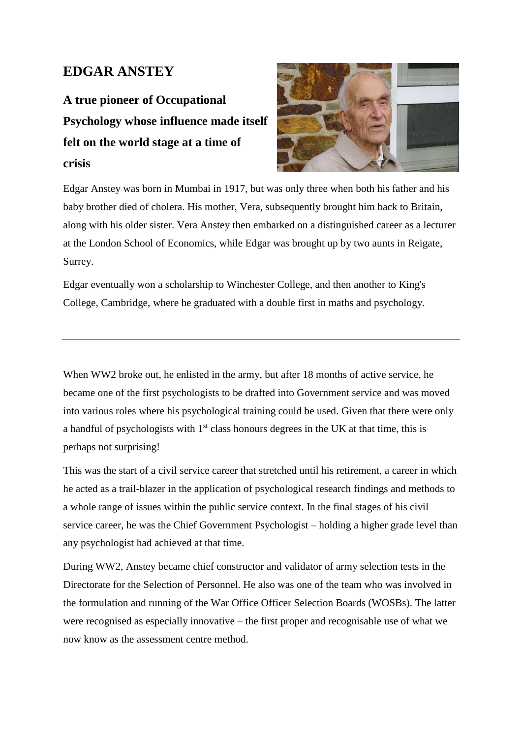## **EDGAR ANSTEY**

**A true pioneer of Occupational Psychology whose influence made itself felt on the world stage at a time of crisis**



Edgar Anstey was born in Mumbai in 1917, but was only three when both his father and his baby brother died of cholera. His mother, Vera, subsequently brought him back to Britain, along with his older sister. Vera Anstey then embarked on a distinguished career as a lecturer at the London School of Economics, while Edgar was brought up by two aunts in Reigate, Surrey.

Edgar eventually won a scholarship to Winchester College, and then another to King's College, Cambridge, where he graduated with a double first in maths and psychology.

When WW2 broke out, he enlisted in the army, but after 18 months of active service, he became one of the first psychologists to be drafted into Government service and was moved into various roles where his psychological training could be used. Given that there were only a handful of psychologists with  $1<sup>st</sup>$  class honours degrees in the UK at that time, this is perhaps not surprising!

This was the start of a civil service career that stretched until his retirement, a career in which he acted as a trail-blazer in the application of psychological research findings and methods to a whole range of issues within the public service context. In the final stages of his civil service career, he was the Chief Government Psychologist – holding a higher grade level than any psychologist had achieved at that time.

During WW2, Anstey became chief constructor and validator of army selection tests in the Directorate for the Selection of Personnel. He also was one of the team who was involved in the formulation and running of the War Office Officer Selection Boards (WOSBs). The latter were recognised as especially innovative – the first proper and recognisable use of what we now know as the assessment centre method.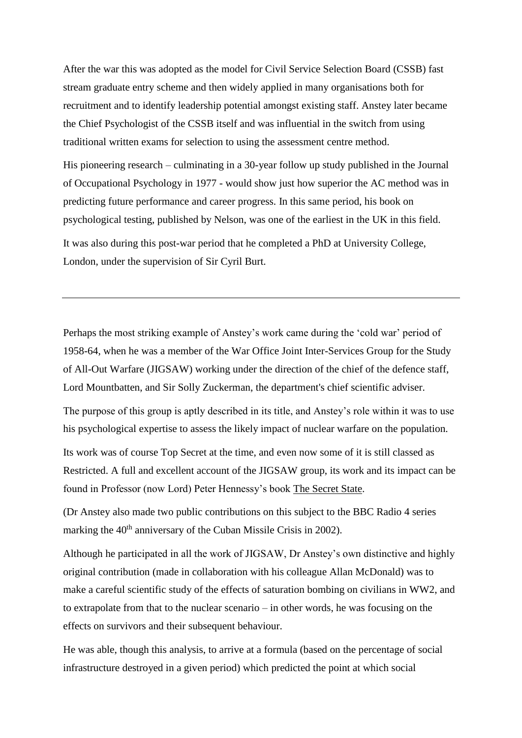After the war this was adopted as the model for Civil Service Selection Board (CSSB) fast stream graduate entry scheme and then widely applied in many organisations both for recruitment and to identify leadership potential amongst existing staff. Anstey later became the Chief Psychologist of the CSSB itself and was influential in the switch from using traditional written exams for selection to using the assessment centre method.

His pioneering research – culminating in a 30-year follow up study published in the Journal of Occupational Psychology in 1977 - would show just how superior the AC method was in predicting future performance and career progress. In this same period, his book on psychological testing, published by Nelson, was one of the earliest in the UK in this field. It was also during this post-war period that he completed a PhD at University College, London, under the supervision of Sir Cyril Burt.

Perhaps the most striking example of Anstey's work came during the 'cold war' period of 1958-64, when he was a member of the War Office Joint Inter-Services Group for the Study of All-Out Warfare (JIGSAW) working under the direction of the chief of the defence staff, Lord Mountbatten, and Sir Solly Zuckerman, the department's chief scientific adviser.

The purpose of this group is aptly described in its title, and Anstey's role within it was to use his psychological expertise to assess the likely impact of nuclear warfare on the population.

Its work was of course Top Secret at the time, and even now some of it is still classed as Restricted. A full and excellent account of the JIGSAW group, its work and its impact can be found in Professor (now Lord) Peter Hennessy's book The Secret State.

(Dr Anstey also made two public contributions on this subject to the BBC Radio 4 series marking the 40<sup>th</sup> anniversary of the Cuban Missile Crisis in 2002).

Although he participated in all the work of JIGSAW, Dr Anstey's own distinctive and highly original contribution (made in collaboration with his colleague Allan McDonald) was to make a careful scientific study of the effects of saturation bombing on civilians in WW2, and to extrapolate from that to the nuclear scenario – in other words, he was focusing on the effects on survivors and their subsequent behaviour.

He was able, though this analysis, to arrive at a formula (based on the percentage of social infrastructure destroyed in a given period) which predicted the point at which social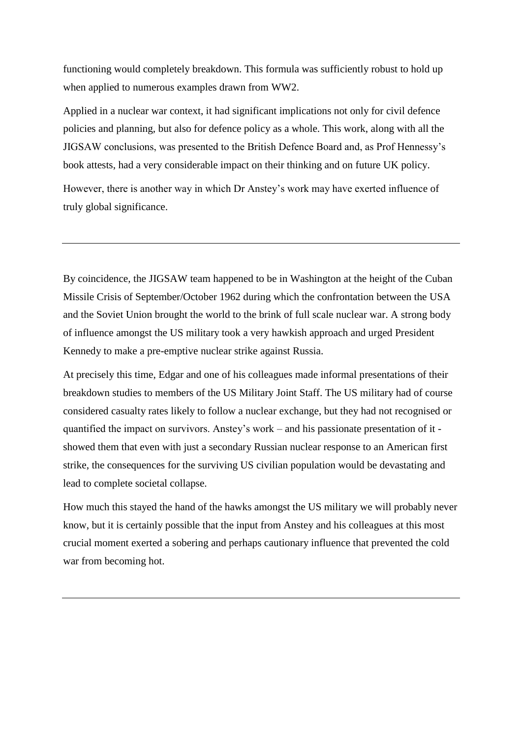functioning would completely breakdown. This formula was sufficiently robust to hold up when applied to numerous examples drawn from WW2.

Applied in a nuclear war context, it had significant implications not only for civil defence policies and planning, but also for defence policy as a whole. This work, along with all the JIGSAW conclusions, was presented to the British Defence Board and, as Prof Hennessy's book attests, had a very considerable impact on their thinking and on future UK policy.

However, there is another way in which Dr Anstey's work may have exerted influence of truly global significance.

By coincidence, the JIGSAW team happened to be in Washington at the height of the Cuban Missile Crisis of September/October 1962 during which the confrontation between the USA and the Soviet Union brought the world to the brink of full scale nuclear war. A strong body of influence amongst the US military took a very hawkish approach and urged President Kennedy to make a pre-emptive nuclear strike against Russia.

At precisely this time, Edgar and one of his colleagues made informal presentations of their breakdown studies to members of the US Military Joint Staff. The US military had of course considered casualty rates likely to follow a nuclear exchange, but they had not recognised or quantified the impact on survivors. Anstey's work – and his passionate presentation of it showed them that even with just a secondary Russian nuclear response to an American first strike, the consequences for the surviving US civilian population would be devastating and lead to complete societal collapse.

How much this stayed the hand of the hawks amongst the US military we will probably never know, but it is certainly possible that the input from Anstey and his colleagues at this most crucial moment exerted a sobering and perhaps cautionary influence that prevented the cold war from becoming hot.